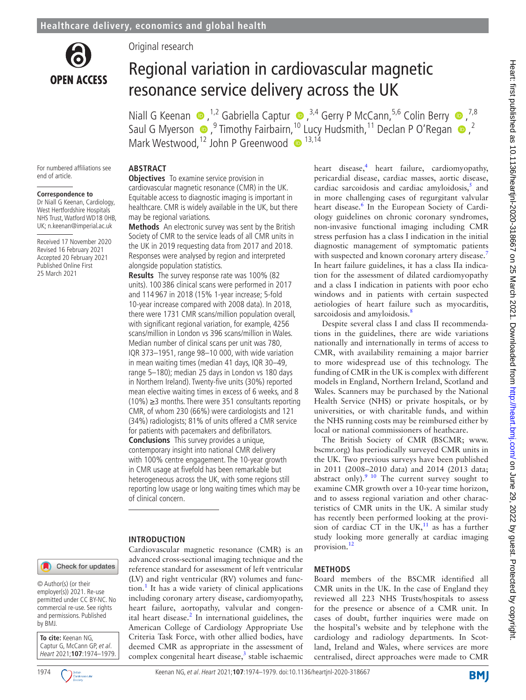

Original research

# Regional variation in cardiovascular magnetic resonance service delivery across the UK

Niall G Keenan  $\bullet$  ,<sup>1,2</sup> Gabriella Captur  $\bullet$  ,<sup>3,4</sup> Gerry P McCann,<sup>5,6</sup> Colin Berry  $\bullet$  ,<sup>7,8</sup> SaulG Myerson  $\bigcirc$ ,  $9$  Timothy Fairbairn,  $^{10}$  Lucy Hudsmith,  $^{11}$  Declan P O'Regan  $\bigcirc$ ,  $^{2}$ Mark Westwood,  $12$  John P Greenwood  $\bullet$   $13,14$ 

For numbered affiliations see end of article.

#### **Correspondence to**

Dr Niall G Keenan, Cardiology, West Hertfordshire Hospitals NHS Trust, Watford WD18 0HB, UK; n.keenan@imperial.ac.uk

Received 17 November 2020 Revised 16 February 2021 Accepted 20 February 2021 Published Online First 25 March 2021

#### **ABSTRACT**

**Objectives** To examine service provision in cardiovascular magnetic resonance (CMR) in the UK. Equitable access to diagnostic imaging is important in healthcare. CMR is widely available in the UK, but there may be regional variations.

**Methods** An electronic survey was sent by the British Society of CMR to the service leads of all CMR units in the UK in 2019 requesting data from 2017 and 2018. Responses were analysed by region and interpreted alongside population statistics.

**Results** The survey response rate was 100% (82 units). 100 386 clinical scans were performed in 2017 and 114 967 in 2018 (15% 1-year increase; 5-fold 10-year increase compared with 2008 data). In 2018, there were 1731 CMR scans/million population overall, with significant regional variation, for example, 4256 scans/million in London vs 396 scans/million in Wales. Median number of clinical scans per unit was 780, IQR 373–1951, range 98–10 000, with wide variation in mean waiting times (median 41 days, IQR 30–49, range 5–180); median 25 days in London vs 180 days in Northern Ireland). Twenty-five units (30%) reported mean elective waiting times in excess of 6 weeks, and 8 (10%) ≥3 months. There were 351 consultants reporting CMR, of whom 230 (66%) were cardiologists and 121 (34%) radiologists; 81% of units offered a CMR service for patients with pacemakers and defibrillators. **Conclusions** This survey provides a unique,

contemporary insight into national CMR delivery with 100% centre engagement. The 10-year growth in CMR usage at fivefold has been remarkable but heterogeneous across the UK, with some regions still reporting low usage or long waiting times which may be of clinical concern.

## **INTRODUCTION**

Cardiovascular magnetic resonance (CMR) is an advanced cross-sectional imaging technique and the reference standard for assessment of left ventricular (LV) and right ventricular (RV) volumes and func- $\text{tion.}^1$  $\text{tion.}^1$  It has a wide variety of clinical applications including coronary artery disease, cardiomyopathy, heart failure, aortopathy, valvular and congenital heart disease.<sup>2</sup> In international guidelines, the American College of Cardiology Appropriate Use Criteria Task Force, with other allied bodies, have deemed CMR as appropriate in the assessment of complex congenital heart disease,<sup>[3](#page-5-2)</sup> stable ischaemic heart disease,<sup>4</sup> heart failure, cardiomyopathy, pericardial disease, cardiac masses, aortic disease, cardiac sarcoidosis and cardiac amyloidosis, $5$  and in more challenging cases of regurgitant valvular heart disease.<sup>[6](#page-5-5)</sup> In the European Society of Cardiology guidelines on chronic coronary syndromes, non-invasive functional imaging including CMR stress perfusion has a class I indication in the initial diagnostic management of symptomatic patients with suspected and known coronary artery disease.<sup>[7](#page-5-6)</sup> In heart failure guidelines, it has a class IIa indication for the assessment of dilated cardiomyopathy and a class I indication in patients with poor echo windows and in patients with certain suspected aetiologies of heart failure such as myocarditis, sarcoidosis and amyloidosis.<sup>8</sup>

Despite several class I and class II recommendations in the guidelines, there are wide variations nationally and internationally in terms of access to CMR, with availability remaining a major barrier to more widespread use of this technology. The funding of CMR in the UK is complex with different models in England, Northern Ireland, Scotland and Wales. Scanners may be purchased by the National Health Service (NHS) or private hospitals, or by universities, or with charitable funds, and within the NHS running costs may be reimbursed either by local or national commissioners of heathcare.

The British Society of CMR (BSCMR; [www.](www.bscmr.org) [bscmr.org\)](www.bscmr.org) has periodically surveyed CMR units in the UK. Two previous surveys have been published in 2011 (2008–2010 data) and 2014 (2013 data; abstract only). $910$  The current survey sought to examine CMR growth over a 10-year time horizon, and to assess regional variation and other characteristics of CMR units in the UK. A similar study has recently been performed looking at the provision of cardiac CT in the UK, $^{11}$  as has a further study looking more generally at cardiac imaging provision.<sup>[12](#page-5-10)</sup>

## **METHODS**

Board members of the BSCMR identified all CMR units in the UK. In the case of England they reviewed all 223 NHS Trusts/hospitals to assess for the presence or absence of a CMR unit. In cases of doubt, further inquiries were made on the hospital's website and by telephone with the cardiology and radiology departments. In Scotland, Ireland and Wales, where services are more centralised, direct approaches were made to CMR

Check for updates

© Author(s) (or their employer(s)) 2021. Re-use permitted under CC BY-NC. No commercial re-use. See rights and permissions. Published by BMJ.



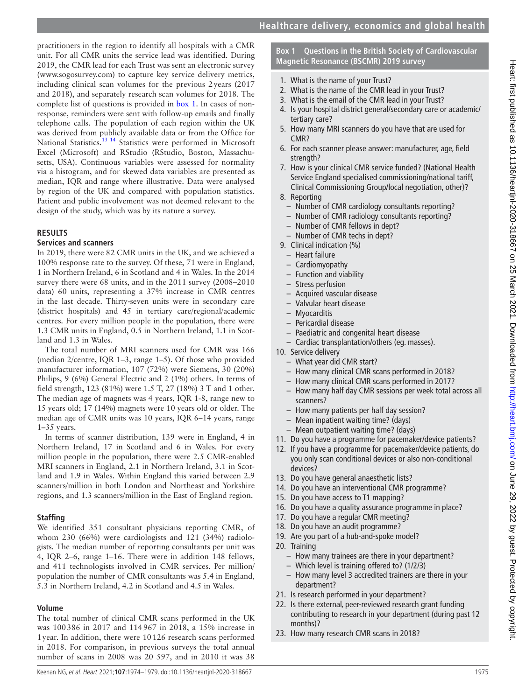practitioners in the region to identify all hospitals with a CMR unit. For all CMR units the service lead was identified. During 2019, the CMR lead for each Trust was sent an electronic survey (<www.sogosurvey.com>) to capture key service delivery metrics, including clinical scan volumes for the previous 2years (2017 and 2018), and separately research scan volumes for 2018. The complete list of questions is provided in [box](#page-1-0) 1. In cases of nonresponse, reminders were sent with follow-up emails and finally telephone calls. The population of each region within the UK was derived from publicly available data or from the Office for National Statistics.<sup>13 14</sup> Statistics were performed in Microsoft Excel (Microsoft) and RStudio (RStudio, Boston, Massachusetts, USA). Continuous variables were assessed for normality via a histogram, and for skewed data variables are presented as median, IQR and range where illustrative. Data were analysed by region of the UK and compared with population statistics. Patient and public involvement was not deemed relevant to the design of the study, which was by its nature a survey.

#### **RESULTS**

#### **Services and scanners**

In 2019, there were 82 CMR units in the UK, and we achieved a 100% response rate to the survey. Of these, 71 were in England, 1 in Northern Ireland, 6 in Scotland and 4 in Wales. In the 2014 survey there were 68 units, and in the 2011 survey (2008–2010 data) 60 units, representing a 37% increase in CMR centres in the last decade. Thirty-seven units were in secondary care (district hospitals) and 45 in tertiary care/regional/academic centres. For every million people in the population, there were 1.3 CMR units in England, 0.5 in Northern Ireland, 1.1 in Scotland and 1.3 in Wales.

The total number of MRI scanners used for CMR was 166 (median 2/centre, IQR 1–3, range 1–5). Of those who provided manufacturer information, 107 (72%) were Siemens, 30 (20%) Philips, 9 (6%) General Electric and 2 (1%) others. In terms of field strength, 123 (81%) were 1.5 T, 27 (18%) 3 T and 1 other. The median age of magnets was 4 years, IQR 1-8, range new to 15 years old; 17 (14%) magnets were 10 years old or older. The median age of CMR units was 10 years, IQR 6–14 years, range 1–35 years.

In terms of scanner distribution, 139 were in England, 4 in Northern Ireland, 17 in Scotland and 6 in Wales. For every million people in the population, there were 2.5 CMR-enabled MRI scanners in England, 2.1 in Northern Ireland, 3.1 in Scotland and 1.9 in Wales. Within England this varied between 2.9 scanners/million in both London and Northeast and Yorkshire regions, and 1.3 scanners/million in the East of England region.

## **Staffing**

We identified 351 consultant physicians reporting CMR, of whom 230 (66%) were cardiologists and 121 (34%) radiologists. The median number of reporting consultants per unit was 4, IQR 2–6, range 1–16. There were in addition 148 fellows, and 411 technologists involved in CMR services. Per million/ population the number of CMR consultants was 5.4 in England, 5.3 in Northern Ireland, 4.2 in Scotland and 4.5 in Wales.

## **Volume**

The total number of clinical CMR scans performed in the UK was 100386 in 2017 and 114967 in 2018, a 15% increase in 1year. In addition, there were 10126 research scans performed in 2018. For comparison, in previous surveys the total annual number of scans in 2008 was 20 597, and in 2010 it was 38

## **Box 1 Questions in the British Society of Cardiovascular Magnetic Resonance (BSCMR) 2019 survey**

- <span id="page-1-0"></span>1. What is the name of your Trust?
- 2. What is the name of the CMR lead in your Trust?
- 3. What is the email of the CMR lead in your Trust?
- 4. Is your hospital district general/secondary care or academic/ tertiary care?
- 5. How many MRI scanners do you have that are used for CMR?
- 6. For each scanner please answer: manufacturer, age, field strength?
- 7. How is your clinical CMR service funded? (National Health Service England specialised commissioning/national tariff, Clinical Commissioning Group/local negotiation, other)?
- 8. Reporting
	- Number of CMR cardiology consultants reporting?
	- Number of CMR radiology consultants reporting?
	- Number of CMR fellows in dept?
	- Number of CMR techs in dept?
- 9. Clinical indication (%)
	- Heart failure
	- Cardiomyopathy
	- Function and viability
	- Stress perfusion
	- Acquired vascular disease
	- Valvular heart disease
	- Myocarditis
	- Pericardial disease
	- Paediatric and congenital heart disease
- Cardiac transplantation/others (eg. masses).
- 10. Service delivery
	- What year did CMR start?
	- How many clinical CMR scans performed in 2018?
	- How many clinical CMR scans performed in 2017?
	- How many half day CMR sessions per week total across all scanners?
	- How many patients per half day session?
	- Mean inpatient waiting time? (days)
	- Mean outpatient waiting time? (days)
- 11. Do you have a programme for pacemaker/device patients?
- 12. If you have a programme for pacemaker/device patients, do you only scan conditional devices or also non-conditional devices?
- 13. Do you have general anaesthetic lists?
- 14. Do you have an interventional CMR programme?
- 15. Do you have access to T1 mapping?
- 16. Do you have a quality assurance programme in place?
- 17. Do you have a regular CMR meeting?
- 18. Do you have an audit programme?
- 19. Are you part of a hub-and-spoke model?
- 20. Training
	- How many trainees are there in your department?
	- Which level is training offered to? (1/2/3)
	- How many level 3 accredited trainers are there in your department?
- 21. Is research performed in your department?
- 22. Is there external, peer-reviewed research grant funding contributing to research in your department (during past 12 months)?
- 23. How many research CMR scans in 2018?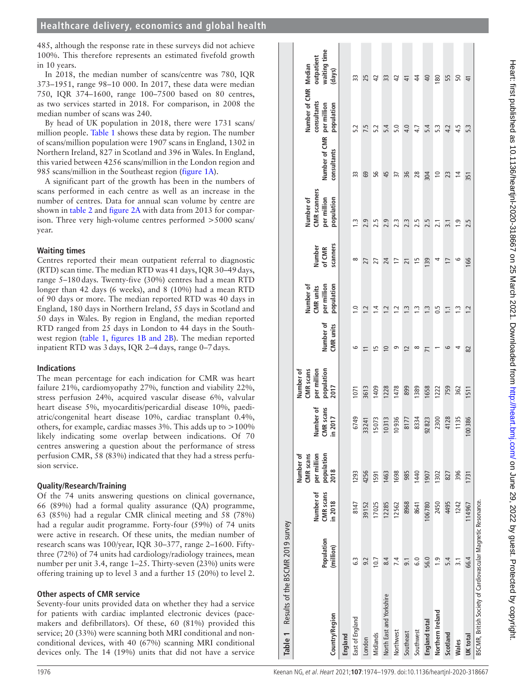485, although the response rate in these surveys did not achieve 100%. This therefore represents an estimated fivefold growth in 10 years.

In 2018, the median number of scans/centre was 780, IQR 373–1951, range 98–10 000. In 2017, these data were median 750, IQR 374–1600, range 100–7500 based on 80 centres, as two services started in 2018. For comparison, in 2008 the median number of scans was 240.

By head of UK population in 2018, there were 1731 scans/ million people. [Table](#page-2-0) 1 shows these data by region. The number of scans/million population were 1907 scans in England, 1302 in Northern Ireland, 827 in Scotland and 396 in Wales. In England, this varied between 4256 scans/million in the London region and 985 scans/million in the Southeast region [\(figure](#page-3-0) 1A).

A significant part of the growth has been in the numbers of scans performed in each centre as well as an increase in the number of centres. Data for annual scan volume by centre are shown in [table](#page-3-1) 2 and [figure](#page-3-2) 2A with data from 2013 for comparison. Three very high-volume centres performed >5000 scans/ year.

## **Waiting times**

Centres reported their mean outpatient referral to diagnostic (RTD) scan time. The median RTD was 41 days, IQR 30–49days, range 5–180days. Twenty-five (30%) centres had a mean RTD longer than 42 days (6 weeks), and 8 (10%) had a mean RTD of 90 days or more. The median reported RTD was 40 days in England, 180 days in Northern Ireland, 55 days in Scotland and 50 days in Wales. By region in England, the median reported RTD ranged from 25 days in London to 44 days in the Southwest region [\(table](#page-2-0) 1, figures [1B and 2B\)](#page-3-0). The median reported inpatient RTD was 3days, IQR 2–4days, range 0–7days.

## **Indications**

The mean percentage for each indication for CMR was heart failure 21%, cardiomyopathy 27%, function and viability 22%, stress perfusion 24%, acquired vascular disease 6%, valvular heart disease 5%, myocarditis/pericardial disease 10%, paediatric/congenital heart disease 10%, cardiac transplant 0.4%, others, for example, cardiac masses 3%. This adds up to >100% likely indicating some overlap between indications. Of 70 centres answering a question about the performance of stress perfusion CMR, 58 (83%) indicated that they had a stress perfusion service.

## **Quality/Research/Training**

Of the 74 units answering questions on clinical governance, 66 (89%) had a formal quality assurance (QA) programme, 63 (85%) had a regular CMR clinical meeting and 58 (78%) had a regular audit programme. Forty-four (59%) of 74 units were active in research. Of these units, the median number of research scans was 100/year, IQR 30–377, range 2–1600. Fiftythree (72%) of 74 units had cardiology/radiology trainees, mean number per unit 3.4, range 1–25. Thirty-seven (23%) units were offering training up to level 3 and a further 15 (20%) to level 2.

## **Other aspects of CMR service**

<span id="page-2-0"></span>Seventy-four units provided data on whether they had a service for patients with cardiac implanted electronic devices (pacemakers and defibrillators). Of these, 60 (81%) provided this service; 20 (33%) were scanning both MRI conditional and nonconditional devices, with 40 (67%) scanning MRI conditional devices only. The 14 (19%) units that did not have a service

| Results of the BSCMR 2019 survey<br>Table 1                  |                         |                                   |                                                             |                                  |                                                                    |                        |                                                     |                              |                                                               |                                          |                                                   |                                      |
|--------------------------------------------------------------|-------------------------|-----------------------------------|-------------------------------------------------------------|----------------------------------|--------------------------------------------------------------------|------------------------|-----------------------------------------------------|------------------------------|---------------------------------------------------------------|------------------------------------------|---------------------------------------------------|--------------------------------------|
| Country/Region                                               | Population<br>(million) | Number of<br>CMR scans<br>in 2018 | population<br>Number of<br>per million<br>CMR scans<br>2018 | Number of<br>CMR scans<br>n 2017 | population<br>Number of<br>per million<br><b>CMR</b> scans<br>2017 | Number of<br>CMR units | population<br>Number of<br>per million<br>CMR units | scanners<br>Number<br>of CMR | <b>CMR</b> scanners<br>Number of<br>per million<br>population | Number of CMR per million<br>consultants | Number of CMR Median<br>consultants<br>population | waiting time<br>outpatient<br>(days) |
| England                                                      |                         |                                   |                                                             |                                  |                                                                    |                        |                                                     |                              |                                                               |                                          |                                                   |                                      |
| East of England                                              | C.3                     | 8147                              | 1293                                                        | 6749                             | 1071                                                               | م                      | $\frac{0}{1}$                                       | ∞                            | $\frac{3}{2}$                                                 | 33                                       | 5.2                                               | 33                                   |
| London                                                       | 9.2                     | 39152                             | 4256                                                        | 33241                            | 3613                                                               | $\Xi$                  | 1.2                                                 | 27                           | 2.9                                                           | 69                                       | 7.5                                               | 25                                   |
| Midlands                                                     | 10.7                    | 17025                             | 1591                                                        | 15073                            | 1409                                                               | 15                     | $1\overline{4}$                                     | 27                           | 2.5                                                           | 95                                       | 5.2                                               | $\overline{4}$                       |
| North East and Yorkshire                                     | 8.4                     | 12285                             | 1463                                                        | 10313                            | 1228                                                               | $\overline{0}$         | 1.2                                                 | 24                           | 2.9                                                           | 45                                       | 5.4                                               | 33                                   |
| Northwest                                                    | 7.4                     | 12562                             | 1698                                                        | 10936                            | 1478                                                               | თ                      | $\overline{12}$                                     | 17                           | 2.3                                                           | 57                                       | 5.0                                               | $\overline{4}$                       |
| Southeast                                                    | $\overline{9}$ .        | 8968                              | 985                                                         | 8177                             | 899                                                                | $\overline{c}$         | $\ddot{ }$ :                                        | $\overline{21}$              | 2.3                                                           | 36                                       | 4.0                                               | $\frac{4}{1}$                        |
| Southwest                                                    | $\frac{0}{6}$           | 8641                              | 1440                                                        | 8334                             | 1389                                                               | ∞                      | $\frac{1}{2}$                                       | ίņ                           | 2.5                                                           | 28                                       | 4.7                                               | $\ddot{4}$                           |
| England total                                                | 56.0                    | 106780                            | 1907                                                        | 92823                            | 1658                                                               | $\overline{7}$         | $\ddot{.}$                                          | 139                          | 2.5                                                           | 304                                      | 5.4                                               | $\overline{40}$                      |
| Northern Ireland                                             | $\frac{0}{1}$           | 2450                              | 1302                                                        | 2300                             | 1222                                                               |                        | 0.5                                                 | 4                            | 2.1                                                           | $\approx$                                | 5.3                                               | 180                                  |
| Scotland                                                     | 5.4                     | 4495                              | 827                                                         | 4128                             | 759                                                                | 9                      | $\Xi$                                               | $\overline{1}$               | $\overline{3}$ .                                              | 23                                       | 4.2                                               | 55                                   |
| Wales                                                        | $\overline{3.1}$        | 1242                              | 396                                                         | 1135                             | 362                                                                |                        | $\ddot{ }$                                          | $\circ$                      | $\frac{0}{2}$                                                 | $\overline{4}$                           | 4.5                                               | 50                                   |
| UK total                                                     | 66.4                    | 114967                            | 1731                                                        | 00386                            | 1511                                                               | 82                     | 1.2                                                 | 166                          | 2.5                                                           | 351                                      | 5.3                                               | $\frac{4}{1}$                        |
| BSCMR, British Society of Cardiovascular Magnetic Resonance. |                         |                                   |                                                             |                                  |                                                                    |                        |                                                     |                              |                                                               |                                          |                                                   |                                      |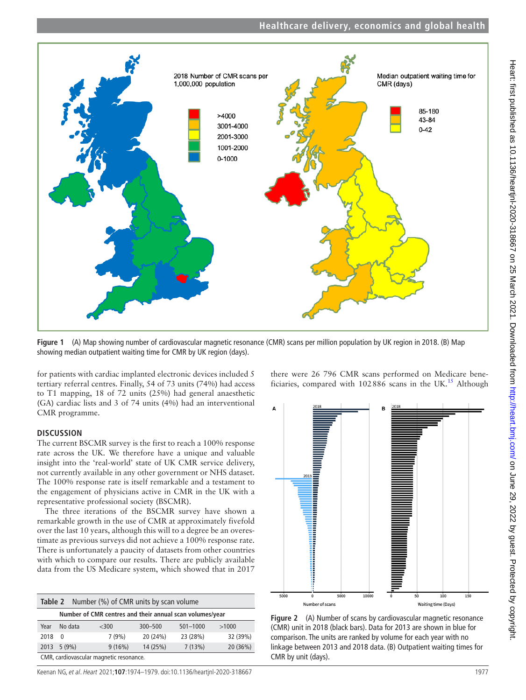

<span id="page-3-0"></span>**Figure 1** (A) Map showing number of cardiovascular magnetic resonance (CMR) scans per million population by UK region in 2018. (B) Map showing median outpatient waiting time for CMR by UK region (days).

for patients with cardiac implanted electronic devices included 5 tertiary referral centres. Finally, 54 of 73 units (74%) had access to T1 mapping, 18 of 72 units (25%) had general anaesthetic (GA) cardiac lists and 3 of 74 units (4%) had an interventional CMR programme.

## **DISCUSSION**

The current BSCMR survey is the first to reach a 100% response rate across the UK. We therefore have a unique and valuable insight into the 'real-world' state of UK CMR service delivery, not currently available in any other government or NHS dataset. The 100% response rate is itself remarkable and a testament to the engagement of physicians active in CMR in the UK with a representative professional society (BSCMR).

The three iterations of the BSCMR survey have shown a remarkable growth in the use of CMR at approximately fivefold over the last 10 years, although this will to a degree be an overestimate as previous surveys did not achieve a 100% response rate. There is unfortunately a paucity of datasets from other countries with which to compare our results. There are publicly available data from the US Medicare system, which showed that in 2017

<span id="page-3-1"></span>

| Number (%) of CMR units by scan volume<br>Table 2        |                |         |             |              |          |  |  |  |  |
|----------------------------------------------------------|----------------|---------|-------------|--------------|----------|--|--|--|--|
| Number of CMR centres and their annual scan volumes/year |                |         |             |              |          |  |  |  |  |
| Year                                                     | No data        | $<$ 300 | $300 - 500$ | $501 - 1000$ | >1000    |  |  |  |  |
| 2018                                                     | $\overline{0}$ | 7(9%)   | 20 (24%)    | 23 (28%)     | 32 (39%) |  |  |  |  |
|                                                          | 2013 5 (9%)    | 9(16%)  | 14 (25%)    | 7(13%)       | 20 (36%) |  |  |  |  |
| CMR, cardiovascular magnetic resonance.                  |                |         |             |              |          |  |  |  |  |

there were 26 796 CMR scans performed on Medicare beneficiaries, compared with  $102886$  scans in the UK.<sup>15</sup> Although



<span id="page-3-2"></span>**Figure 2** (A) Number of scans by cardiovascular magnetic resonance (CMR) unit in 2018 (black bars). Data for 2013 are shown in blue for comparison. The units are ranked by volume for each year with no linkage between 2013 and 2018 data. (B) Outpatient waiting times for CMR by unit (days).

Keenan NG, et al. Heart 2021;**107**:1974–1979. doi:10.1136/heartjnl-2020-318667 1977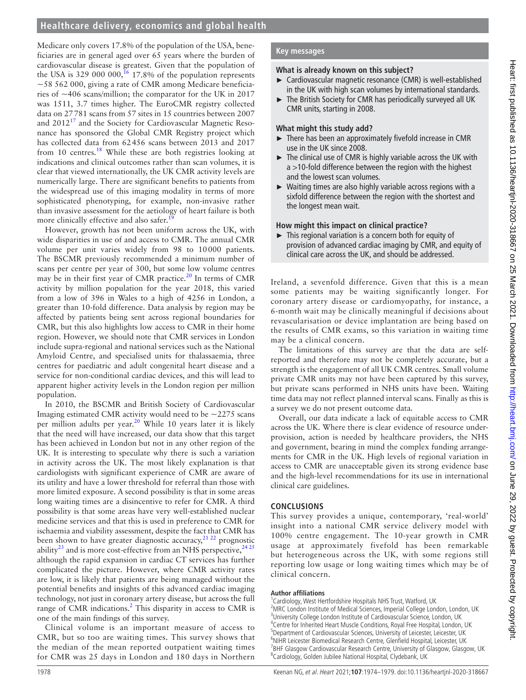## **Healthcare delivery, economics and global health**

Medicare only covers 17.8% of the population of the USA, beneficiaries are in general aged over 65 years where the burden of cardiovascular disease is greatest. Given that the population of the USA is 329 000 000,<sup>[16](#page-5-13)</sup> 17.8% of the population represents ~58 562 000, giving a rate of CMR among Medicare beneficiaries of  $\sim$ 406 scans/million; the comparator for the UK in 2017 was 1511, 3.7 times higher. The EuroCMR registry collected data on 27781 scans from 57 sites in 15 countries between 2007 and 2012<sup>17</sup> and the Society for Cardiovascular Magnetic Resonance has sponsored the Global CMR Registry project which has collected data from 62456 scans between 2013 and 2017 from 10 centres.[18](#page-5-15) While these are both registries looking at indications and clinical outcomes rather than scan volumes, it is clear that viewed internationally, the UK CMR activity levels are numerically large. There are significant benefits to patients from the widespread use of this imaging modality in terms of more sophisticated phenotyping, for example, non-invasive rather than invasive assessment for the aetiology of heart failure is both more clinically effective and also safer.<sup>1</sup>

However, growth has not been uniform across the UK, with wide disparities in use of and access to CMR. The annual CMR volume per unit varies widely from 98 to 10000 patients. The BSCMR previously recommended a minimum number of scans per centre per year of 300, but some low volume centres may be in their first year of CMR practice.<sup>[20](#page-5-17)</sup> In terms of CMR activity by million population for the year 2018, this varied from a low of 396 in Wales to a high of 4256 in London, a greater than 10-fold difference. Data analysis by region may be affected by patients being sent across regional boundaries for CMR, but this also highlights low access to CMR in their home region. However, we should note that CMR services in London include supra-regional and national services such as the National Amyloid Centre, and specialised units for thalassaemia, three centres for paediatric and adult congenital heart disease and a service for non-conditional cardiac devices, and this will lead to apparent higher activity levels in the London region per million population.

In 2010, the BSCMR and British Society of Cardiovascular Imaging estimated CMR activity would need to be  $\sim$ 2275 scans per million adults per year.<sup>20</sup> While 10 years later it is likely that the need will have increased, our data show that this target has been achieved in London but not in any other region of the UK. It is interesting to speculate why there is such a variation in activity across the UK. The most likely explanation is that cardiologists with significant experience of CMR are aware of its utility and have a lower threshold for referral than those with more limited exposure. A second possibility is that in some areas long waiting times are a disincentive to refer for CMR. A third possibility is that some areas have very well-established nuclear medicine services and that this is used in preference to CMR for ischaemia and viability assessment, despite the fact that CMR has been shown to have greater diagnostic accuracy,  $2^{12}$  prognostic ability<sup>[23](#page-5-19)</sup> and is more cost-effective from an NHS perspective,  $2425$ although the rapid expansion in cardiac CT services has further complicated the picture. However, where CMR activity rates are low, it is likely that patients are being managed without the potential benefits and insights of this advanced cardiac imaging technology, not just in coronary artery disease, but across the full range of CMR indications.<sup>[2](#page-5-1)</sup> This disparity in access to CMR is one of the main findings of this survey.

Clinical volume is an important measure of access to CMR, but so too are waiting times. This survey shows that the median of the mean reported outpatient waiting times for CMR was 25 days in London and 180 days in Northern

## **Key messages**

## **What is already known on this subject?**

- ► Cardiovascular magnetic resonance (CMR) is well-established in the UK with high scan volumes by international standards.
- ► The British Society for CMR has periodically surveyed all UK CMR units, starting in 2008.

## **What might this study add?**

- ► There has been an approximately fivefold increase in CMR use in the UK since 2008.
- ► The clinical use of CMR is highly variable across the UK with a >10-fold difference between the region with the highest and the lowest scan volumes.
- ► Waiting times are also highly variable across regions with a sixfold difference between the region with the shortest and the longest mean wait.

## **How might this impact on clinical practice?**

► This regional variation is a concern both for equity of provision of advanced cardiac imaging by CMR, and equity of clinical care across the UK, and should be addressed.

Ireland, a sevenfold difference. Given that this is a mean some patients may be waiting significantly longer. For coronary artery disease or cardiomyopathy, for instance, a 6-month wait may be clinically meaningful if decisions about revascularisation or device implantation are being based on the results of CMR exams, so this variation in waiting time may be a clinical concern.

The limitations of this survey are that the data are selfreported and therefore may not be completely accurate, but a strength is the engagement of all UK CMR centres. Small volume private CMR units may not have been captured by this survey, but private scans performed in NHS units have been. Waiting time data may not reflect planned interval scans. Finally as this is a survey we do not present outcome data.

Overall, our data indicate a lack of equitable access to CMR across the UK. Where there is clear evidence of resource underprovision, action is needed by healthcare providers, the NHS and government, bearing in mind the complex funding arrangements for CMR in the UK. High levels of regional variation in access to CMR are unacceptable given its strong evidence base and the high-level recommendations for its use in international clinical care guidelines.

## **CONCLUSIONS**

This survey provides a unique, contemporary, 'real-world' insight into a national CMR service delivery model with 100% centre engagement. The 10-year growth in CMR usage at approximately fivefold has been remarkable but heterogeneous across the UK, with some regions still reporting low usage or long waiting times which may be of clinical concern.

## **Author affiliations**

<sup>1</sup> Cardiology, West Hertfordshire Hospitals NHS Trust, Watford, UK <sup>2</sup>MRC London Institute of Medical Sciences, Imperial College London, London, UK <sup>3</sup>University College London Institute of Cardiovascular Science, London, UK 4 Centre for Inherited Heart Muscle Conditions, Royal Free Hospital, London, UK <sup>5</sup>Department of Cardiovascular Sciences, University of Leicester, Leicester, UK <sup>6</sup>NIHR Leicester Biomedical Research Centre, Glenfield Hospital, Leicester, UK <sup>7</sup>BHF Glasgow Cardiovascular Research Centre, University of Glasgow, Glasgow, UK <sup>8</sup>Cardiology, Golden Jubilee National Hospital, Clydebank, UK